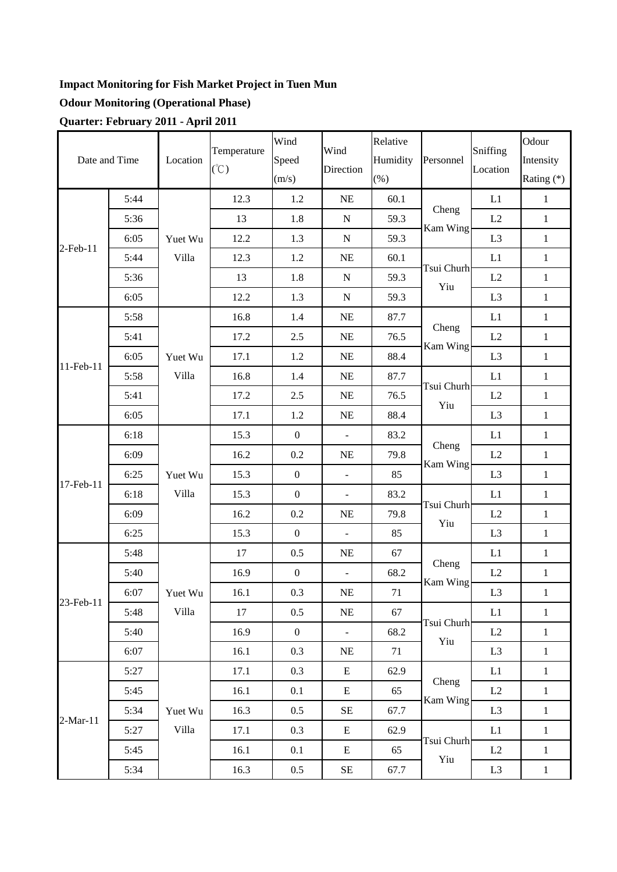## **Impact Monitoring for Fish Market Project in Tuen Mun**

## **Odour Monitoring (Operational Phase)**

**Quarter: February 2011 - April 2011** 

|               |      |                  | Temperature   | Wind             | Wind           | Relative |                                                                                                                                                                                                                                                                                                                                                                                |                                                                                                                     | Odour        |
|---------------|------|------------------|---------------|------------------|----------------|----------|--------------------------------------------------------------------------------------------------------------------------------------------------------------------------------------------------------------------------------------------------------------------------------------------------------------------------------------------------------------------------------|---------------------------------------------------------------------------------------------------------------------|--------------|
| Date and Time |      | Location         | $(\degree C)$ | Speed            | Direction      | Humidity | Personnel<br>L1<br>Cheng<br>L2<br>Kam Wing<br>L <sub>3</sub><br>L1<br>Tsui Churh<br>L2<br>Yiu<br>L <sub>3</sub><br>L1<br>Cheng<br>L2<br>Kam Wing<br>L <sub>3</sub><br>L1<br>Tsui Churh<br>L2<br>Yiu<br>L <sub>3</sub><br>L1<br>Cheng<br>L2<br>Kam Wing<br>L <sub>3</sub><br>L1<br>Tsui Churh<br>L2<br>Yiu<br>L <sub>3</sub><br>L1<br>Cheng<br>L2<br>Kam Wing<br>L <sub>3</sub> | Location                                                                                                            | Intensity    |
|               |      |                  |               | (m/s)            |                | (% )     |                                                                                                                                                                                                                                                                                                                                                                                |                                                                                                                     | Rating (*)   |
|               | 5:44 | Yuet Wu          | 12.3          | 1.2              | NE             | 60.1     |                                                                                                                                                                                                                                                                                                                                                                                |                                                                                                                     | $\mathbf{1}$ |
|               | 5:36 |                  | 13            | 1.8              | ${\bf N}$      | 59.3     |                                                                                                                                                                                                                                                                                                                                                                                |                                                                                                                     | $\mathbf{1}$ |
| 2-Feb-11      | 6:05 |                  | 12.2          | 1.3              | ${\bf N}$      | 59.3     |                                                                                                                                                                                                                                                                                                                                                                                |                                                                                                                     | $1\,$        |
|               | 5:44 | Villa            | 12.3          | 1.2              | <b>NE</b>      | 60.1     |                                                                                                                                                                                                                                                                                                                                                                                |                                                                                                                     | $\mathbf{1}$ |
|               | 5:36 |                  | 13            | 1.8              | ${\bf N}$      | 59.3     |                                                                                                                                                                                                                                                                                                                                                                                |                                                                                                                     | $\mathbf{1}$ |
|               | 6:05 |                  | 12.2          | 1.3              | N              | 59.3     |                                                                                                                                                                                                                                                                                                                                                                                | Sniffing<br>L1<br>L2<br>L <sub>3</sub><br>$\mathop{\rm L{1}}$<br>L2<br>L <sub>3</sub><br>L1<br>L2<br>L <sub>3</sub> | $\mathbf{1}$ |
|               | 5:58 |                  | 16.8          | 1.4              | NE             | 87.7     |                                                                                                                                                                                                                                                                                                                                                                                |                                                                                                                     | $\mathbf{1}$ |
|               | 5:41 |                  | 17.2          | 2.5              | $\rm NE$       | 76.5     |                                                                                                                                                                                                                                                                                                                                                                                |                                                                                                                     | $\mathbf{1}$ |
| 11-Feb-11     | 6:05 | Yuet Wu          | 17.1          | $1.2\,$          | NE             | 88.4     |                                                                                                                                                                                                                                                                                                                                                                                |                                                                                                                     | $1\,$        |
|               | 5:58 | Villa            | 16.8          | 1.4              | <b>NE</b>      | 87.7     |                                                                                                                                                                                                                                                                                                                                                                                |                                                                                                                     | $\mathbf{1}$ |
|               | 5:41 |                  | 17.2          | 2.5              | NE             | 76.5     |                                                                                                                                                                                                                                                                                                                                                                                |                                                                                                                     | $\mathbf{1}$ |
|               | 6:05 |                  | 17.1          | 1.2              | NE             | 88.4     |                                                                                                                                                                                                                                                                                                                                                                                |                                                                                                                     | $\mathbf{1}$ |
| 17-Feb-11     | 6:18 | Yuet Wu<br>Villa | 15.3          | $\boldsymbol{0}$ | $\omega$       | 83.2     |                                                                                                                                                                                                                                                                                                                                                                                |                                                                                                                     | $\mathbf{1}$ |
|               | 6:09 |                  | 16.2          | 0.2              | $\rm NE$       | 79.8     |                                                                                                                                                                                                                                                                                                                                                                                |                                                                                                                     | $\mathbf{1}$ |
|               | 6:25 |                  | 15.3          | $\boldsymbol{0}$ | $\Box$         | 85       |                                                                                                                                                                                                                                                                                                                                                                                |                                                                                                                     | $\mathbf{1}$ |
|               | 6:18 |                  | 15.3          | $\boldsymbol{0}$ | $\omega$       | 83.2     |                                                                                                                                                                                                                                                                                                                                                                                |                                                                                                                     | $\mathbf{1}$ |
|               | 6:09 |                  | 16.2          | 0.2              | <b>NE</b>      | 79.8     |                                                                                                                                                                                                                                                                                                                                                                                |                                                                                                                     | $\mathbf{1}$ |
|               | 6:25 |                  | 15.3          | $\boldsymbol{0}$ | $\blacksquare$ | 85       |                                                                                                                                                                                                                                                                                                                                                                                |                                                                                                                     | $\,1$        |
| 23-Feb-11     | 5:48 | Yuet Wu<br>Villa | 17            | 0.5              | NE             | 67       |                                                                                                                                                                                                                                                                                                                                                                                |                                                                                                                     | $\mathbf{1}$ |
|               | 5:40 |                  | 16.9          | $\boldsymbol{0}$ | $\Box$         | 68.2     |                                                                                                                                                                                                                                                                                                                                                                                |                                                                                                                     | $\mathbf{1}$ |
|               | 6:07 |                  | 16.1          | 0.3              | NE             | 71       |                                                                                                                                                                                                                                                                                                                                                                                |                                                                                                                     | $\mathbf 1$  |
|               | 5:48 |                  | 17            | 0.5              | NE             | 67       | Tsui Churh<br>Yiu                                                                                                                                                                                                                                                                                                                                                              |                                                                                                                     | $\mathbf{1}$ |
|               | 5:40 |                  | 16.9          | $\mathbf{0}$     | $\omega$       | 68.2     |                                                                                                                                                                                                                                                                                                                                                                                |                                                                                                                     | $\mathbf{1}$ |
|               | 6:07 |                  | 16.1          | 0.3              | <b>NE</b>      | 71       |                                                                                                                                                                                                                                                                                                                                                                                |                                                                                                                     | $\mathbf{1}$ |
| $2-Mar-11$    | 5:27 |                  | 17.1          | 0.3              | ${\bf E}$      | 62.9     |                                                                                                                                                                                                                                                                                                                                                                                |                                                                                                                     | $\mathbf{1}$ |
|               | 5:45 |                  | 16.1          | 0.1              | ${\bf E}$      | 65       | Cheng                                                                                                                                                                                                                                                                                                                                                                          |                                                                                                                     | $1\,$        |
|               | 5:34 | Yuet Wu<br>Villa | 16.3          | 0.5              | $\rm SE$       | 67.7     | Kam Wing                                                                                                                                                                                                                                                                                                                                                                       |                                                                                                                     | $1\,$        |
|               | 5:27 |                  | 17.1          | 0.3              | E              | 62.9     | Tsui Churh<br>Yiu                                                                                                                                                                                                                                                                                                                                                              |                                                                                                                     | $\mathbf{1}$ |
|               | 5:45 |                  | 16.1          | 0.1              | E              | 65       |                                                                                                                                                                                                                                                                                                                                                                                |                                                                                                                     | $\mathbf{1}$ |
|               | 5:34 |                  | 16.3          | $0.5\,$          | $\rm SE$       | 67.7     |                                                                                                                                                                                                                                                                                                                                                                                |                                                                                                                     | $\mathbf{1}$ |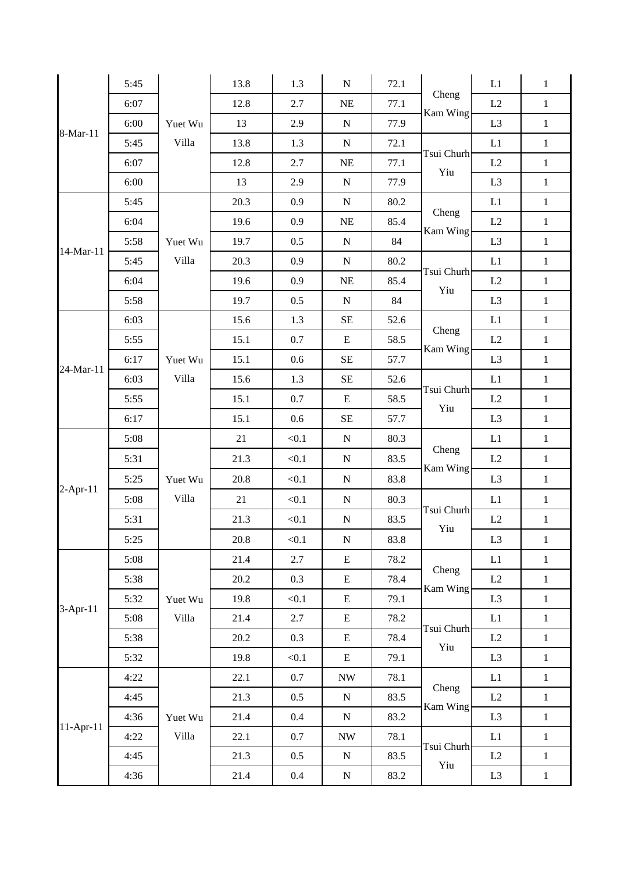|             | 5:45 |                  | 13.8 | 1.3     | ${\bf N}$                | 72.1 | Cheng<br>Kam Wing                                                                                                                                                                                                                                                                                                          | L1             | $\mathbf{1}$ |
|-------------|------|------------------|------|---------|--------------------------|------|----------------------------------------------------------------------------------------------------------------------------------------------------------------------------------------------------------------------------------------------------------------------------------------------------------------------------|----------------|--------------|
|             | 6:07 |                  | 12.8 | 2.7     | $\rm NE$                 | 77.1 |                                                                                                                                                                                                                                                                                                                            | L2             | $\mathbf{1}$ |
| 8-Mar-11    | 6:00 | Yuet Wu          | 13   | 2.9     | ${\bf N}$                | 77.9 |                                                                                                                                                                                                                                                                                                                            | L <sub>3</sub> | $\,1\,$      |
|             | 5:45 | Villa            | 13.8 | 1.3     | ${\bf N}$                | 72.1 |                                                                                                                                                                                                                                                                                                                            | L1             | $\mathbf{1}$ |
|             | 6:07 |                  | 12.8 | 2.7     | $\rm NE$                 | 77.1 |                                                                                                                                                                                                                                                                                                                            | L2             | $\,1\,$      |
|             | 6:00 |                  | 13   | 2.9     | ${\bf N}$                | 77.9 |                                                                                                                                                                                                                                                                                                                            | L <sub>3</sub> | $\mathbf{1}$ |
|             | 5:45 | Yuet Wu<br>Villa | 20.3 | 0.9     | ${\bf N}$                | 80.2 |                                                                                                                                                                                                                                                                                                                            | L1             | $\mathbf{1}$ |
| 14-Mar-11   | 6:04 |                  | 19.6 | 0.9     | $\rm NE$                 | 85.4 |                                                                                                                                                                                                                                                                                                                            | $\rm L2$       | $\mathbf 1$  |
|             | 5:58 |                  | 19.7 | 0.5     | ${\bf N}$                | 84   |                                                                                                                                                                                                                                                                                                                            | L <sub>3</sub> | $\,1\,$      |
|             | 5:45 |                  | 20.3 | 0.9     | N                        | 80.2 |                                                                                                                                                                                                                                                                                                                            | L1             | $\mathbf{1}$ |
|             | 6:04 |                  | 19.6 | 0.9     | $\rm NE$                 | 85.4 |                                                                                                                                                                                                                                                                                                                            | L2             | $\,1\,$      |
|             | 5:58 |                  | 19.7 | 0.5     | N                        | 84   |                                                                                                                                                                                                                                                                                                                            | L <sub>3</sub> | $\,1\,$      |
|             | 6:03 |                  | 15.6 | 1.3     | $\rm SE$                 | 52.6 | Cheng<br>Kam Wing                                                                                                                                                                                                                                                                                                          | L1             | $\mathbf{1}$ |
|             | 5:55 | Yuet Wu          | 15.1 | 0.7     | E                        | 58.5 |                                                                                                                                                                                                                                                                                                                            | L2             | $\mathbf{1}$ |
| 24-Mar-11   | 6:17 |                  | 15.1 | 0.6     | $\rm SE$                 | 57.7 |                                                                                                                                                                                                                                                                                                                            | L <sub>3</sub> | $\mathbf{1}$ |
|             | 6:03 | Villa            | 15.6 | 1.3     | SE                       | 52.6 | Tsui Churh<br>Yiu                                                                                                                                                                                                                                                                                                          | L1             | $\mathbf{1}$ |
|             | 5:55 |                  | 15.1 | 0.7     | E                        | 58.5 |                                                                                                                                                                                                                                                                                                                            | L2             | $\,1\,$      |
|             | 6:17 |                  | 15.1 | 0.6     | $\rm SE$                 | 57.7 |                                                                                                                                                                                                                                                                                                                            | L <sub>3</sub> | $\,1$        |
|             | 5:08 | Yuet Wu<br>Villa | 21   | < 0.1   | ${\bf N}$                | 80.3 | Cheng<br>Kam Wing                                                                                                                                                                                                                                                                                                          | L1             | $\mathbf{1}$ |
|             | 5:31 |                  | 21.3 | < 0.1   | ${\bf N}$                | 83.5 |                                                                                                                                                                                                                                                                                                                            | L2             | $\,1\,$      |
| $2$ -Apr-11 | 5:25 |                  | 20.8 | < 0.1   | ${\bf N}$                | 83.8 |                                                                                                                                                                                                                                                                                                                            | L <sub>3</sub> | $\mathbf{1}$ |
|             | 5:08 |                  | 21   | < 0.1   | ${\bf N}$                | 80.3 | Tsui Churh<br>Yiu<br>Cheng<br>Kam Wing<br>Tsui Churh<br>Yiu<br>L1<br>Tsui Churh<br>$\rm L2$<br>Yiu<br>$\rm L3$<br>L1<br>Cheng<br>L2<br>Kam Wing<br>L <sub>3</sub><br>L1<br>Tsui Churh<br>L2<br>Yiu<br>L <sub>3</sub><br>L1<br>Cheng<br>L2<br>Kam Wing<br>L <sub>3</sub><br>L1<br>Tsui Churh<br>L2<br>Yiu<br>L <sub>3</sub> |                | $\,1\,$      |
|             | 5:31 |                  | 21.3 | < 0.1   | ${\bf N}$                | 83.5 |                                                                                                                                                                                                                                                                                                                            |                | $\,1\,$      |
|             | 5:25 |                  | 20.8 | < 0.1   | ${\bf N}$                | 83.8 |                                                                                                                                                                                                                                                                                                                            | $\mathbf{1}$   |              |
|             | 5:08 | Yuet Wu<br>Villa | 21.4 | 2.7     | E                        | 78.2 |                                                                                                                                                                                                                                                                                                                            |                | $\mathbf{1}$ |
|             | 5:38 |                  | 20.2 | 0.3     | E                        | 78.4 |                                                                                                                                                                                                                                                                                                                            |                | $\mathbf{1}$ |
|             | 5:32 |                  | 19.8 | < 0.1   | E                        | 79.1 |                                                                                                                                                                                                                                                                                                                            |                | $\mathbf{1}$ |
| 3-Apr-11    | 5:08 |                  | 21.4 | 2.7     | E                        | 78.2 |                                                                                                                                                                                                                                                                                                                            |                | $\mathbf{1}$ |
|             | 5:38 |                  | 20.2 | 0.3     | $\mathbf E$              | 78.4 |                                                                                                                                                                                                                                                                                                                            |                | $\,1\,$      |
|             | 5:32 |                  | 19.8 | < 0.1   | E                        | 79.1 |                                                                                                                                                                                                                                                                                                                            |                | $\mathbf{1}$ |
|             | 4:22 | Yuet Wu<br>Villa | 22.1 | 0.7     | <b>NW</b>                | 78.1 |                                                                                                                                                                                                                                                                                                                            |                | $\mathbf{1}$ |
| $11-Apr-11$ | 4:45 |                  | 21.3 | $0.5\,$ | ${\bf N}$                | 83.5 |                                                                                                                                                                                                                                                                                                                            |                | $\mathbf{1}$ |
|             | 4:36 |                  | 21.4 | $0.4\,$ | $\mathbf N$              | 83.2 |                                                                                                                                                                                                                                                                                                                            |                | $\mathbf{1}$ |
|             | 4:22 |                  | 22.1 | $0.7\,$ | $\ensuremath{\text{NW}}$ | 78.1 |                                                                                                                                                                                                                                                                                                                            |                | $\mathbf{1}$ |
|             | 4:45 |                  | 21.3 | 0.5     | ${\bf N}$                | 83.5 |                                                                                                                                                                                                                                                                                                                            |                | $\mathbf{1}$ |
|             | 4:36 |                  | 21.4 | $0.4\,$ | $\mathbf N$              | 83.2 |                                                                                                                                                                                                                                                                                                                            |                | $\mathbf{1}$ |